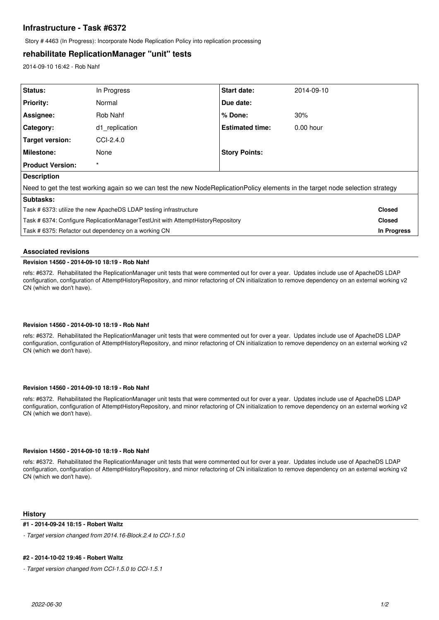# **Infrastructure - Task #6372**

Story # 4463 (In Progress): Incorporate Node Replication Policy into replication processing

# **rehabilitate ReplicationManager "unit" tests**

2014-09-10 16:42 - Rob Nahf

| Status:                                                                                                                        | In Progress    | <b>Start date:</b>     | 2014-09-10  |               |
|--------------------------------------------------------------------------------------------------------------------------------|----------------|------------------------|-------------|---------------|
| <b>Priority:</b>                                                                                                               | Normal         | Due date:              |             |               |
| Assignee:                                                                                                                      | Rob Nahf       | % Done:                | 30%         |               |
| <b>Category:</b>                                                                                                               | d1 replication | <b>Estimated time:</b> | $0.00$ hour |               |
| <b>Target version:</b>                                                                                                         | CCI-2.4.0      |                        |             |               |
| <b>Milestone:</b>                                                                                                              | None           | <b>Story Points:</b>   |             |               |
| <b>Product Version:</b>                                                                                                        | $\star$        |                        |             |               |
| <b>Description</b>                                                                                                             |                |                        |             |               |
| Need to get the test working again so we can test the new NodeReplicationPolicy elements in the target node selection strategy |                |                        |             |               |
| Subtasks:                                                                                                                      |                |                        |             |               |
| Task # 6373: utilize the new ApacheDS LDAP testing infrastructure                                                              |                |                        |             | <b>Closed</b> |
| Task # 6374: Configure ReplicationManagerTestUnit with AttemptHistoryRepository                                                |                |                        |             | <b>Closed</b> |
| Task # 6375: Refactor out dependency on a working CN                                                                           |                |                        |             | In Progress   |
|                                                                                                                                |                |                        |             |               |

## **Associated revisions**

## **Revision 14560 - 2014-09-10 18:19 - Rob Nahf**

refs: #6372. Rehabilitated the ReplicationManager unit tests that were commented out for over a year. Updates include use of ApacheDS LDAP configuration, configuration of AttemptHistoryRepository, and minor refactoring of CN initialization to remove dependency on an external working v2 CN (which we don't have).

### **Revision 14560 - 2014-09-10 18:19 - Rob Nahf**

refs: #6372. Rehabilitated the ReplicationManager unit tests that were commented out for over a year. Updates include use of ApacheDS LDAP configuration, configuration of AttemptHistoryRepository, and minor refactoring of CN initialization to remove dependency on an external working v2 CN (which we don't have).

### **Revision 14560 - 2014-09-10 18:19 - Rob Nahf**

refs: #6372. Rehabilitated the ReplicationManager unit tests that were commented out for over a year. Updates include use of ApacheDS LDAP configuration, configuration of AttemptHistoryRepository, and minor refactoring of CN initialization to remove dependency on an external working v2 CN (which we don't have).

## **Revision 14560 - 2014-09-10 18:19 - Rob Nahf**

refs: #6372. Rehabilitated the ReplicationManager unit tests that were commented out for over a year. Updates include use of ApacheDS LDAP configuration, configuration of AttemptHistoryRepository, and minor refactoring of CN initialization to remove dependency on an external working v2 CN (which we don't have).

### **History**

### **#1 - 2014-09-24 18:15 - Robert Waltz**

*- Target version changed from 2014.16-Block.2.4 to CCI-1.5.0*

### **#2 - 2014-10-02 19:46 - Robert Waltz**

*- Target version changed from CCI-1.5.0 to CCI-1.5.1*